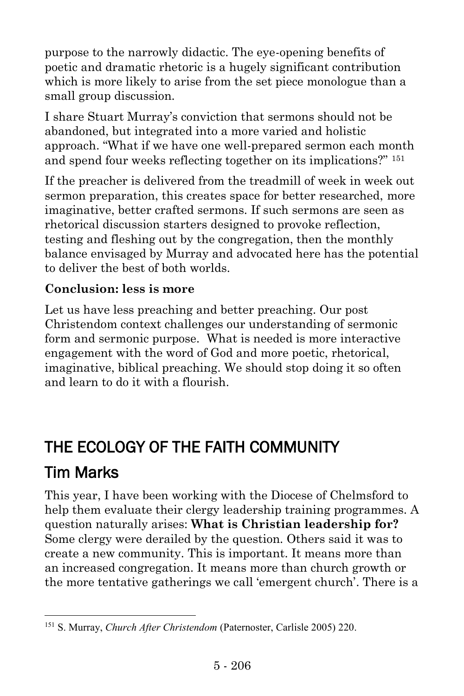purpose to the narrowly didactic. The eye-opening benefits of poetic and dramatic rhetoric is a hugely significant contribution which is more likely to arise from the set piece monologue than a small group discussion.

I share Stuart Murray's conviction that sermons should not be abandoned, but integrated into a more varied and holistic approach. "What if we have one well-prepared sermon each month and spend four weeks reflecting together on its implications?" <sup>151</sup>

If the preacher is delivered from the treadmill of week in week out sermon preparation, this creates space for better researched, more imaginative, better crafted sermons. If such sermons are seen as rhetorical discussion starters designed to provoke reflection, testing and fleshing out by the congregation, then the monthly balance envisaged by Murray and advocated here has the potential to deliver the best of both worlds.

## **Conclusion: less is more**

l

Let us have less preaching and better preaching. Our post Christendom context challenges our understanding of sermonic form and sermonic purpose. What is needed is more interactive engagement with the word of God and more poetic, rhetorical, imaginative, biblical preaching. We should stop doing it so often and learn to do it with a flourish.

## THE ECOLOGY OF THE FAITH COMMUNITY [Tim Marks](https://www.ministrytoday.org.uk/magazine/authors/478/)

This year, I have been working with the Diocese of Chelmsford to help them evaluate their clergy leadership training programmes. A question naturally arises: **What is Christian leadership for?** Some clergy were derailed by the question. Others said it was to create a new community. This is important. It means more than an increased congregation. It means more than church growth or the more tentative gatherings we call 'emergent church'. There is a

<sup>151</sup> S. Murray, *Church After Christendom* (Paternoster, Carlisle 2005) 220.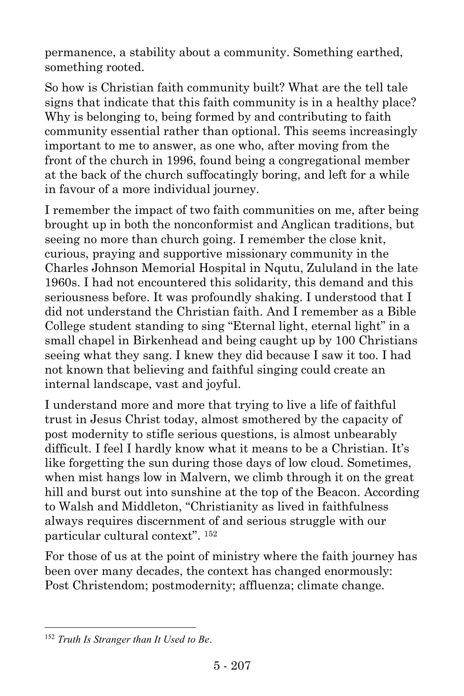permanence, a stability about a community. Something earthed, something rooted.

So how is Christian faith community built? What are the tell tale signs that indicate that this faith community is in a healthy place? Why is belonging to, being formed by and contributing to faith community essential rather than optional. This seems increasingly important to me to answer, as one who, after moving from the front of the church in 1996, found being a congregational member at the back of the church suffocatingly boring, and left for a while in favour of a more individual journey.

I remember the impact of two faith communities on me, after being brought up in both the nonconformist and Anglican traditions, but seeing no more than church going. I remember the close knit, curious, praying and supportive missionary community in the Charles Johnson Memorial Hospital in Nqutu, Zululand in the late 1960s. I had not encountered this solidarity, this demand and this seriousness before. It was profoundly shaking. I understood that I did not understand the Christian faith. And I remember as a Bible College student standing to sing "Eternal light, eternal light" in a small chapel in Birkenhead and being caught up by 100 Christians seeing what they sang. I knew they did because I saw it too. I had not known that believing and faithful singing could create an internal landscape, vast and joyful.

I understand more and more that trying to live a life of faithful trust in Jesus Christ today, almost smothered by the capacity of post modernity to stifle serious questions, is almost unbearably difficult. I feel I hardly know what it means to be a Christian. It's like forgetting the sun during those days of low cloud. Sometimes, when mist hangs low in Malvern, we climb through it on the great hill and burst out into sunshine at the top of the Beacon. According to Walsh and Middleton, "Christianity as lived in faithfulness always requires discernment of and serious struggle with our particular cultural context". 152

For those of us at the point of ministry where the faith journey has been over many decades, the context has changed enormously: Post Christendom; postmodernity; affluenza; climate change.

 $\overline{a}$ 

<sup>152</sup> *Truth Is Stranger than It Used to Be*.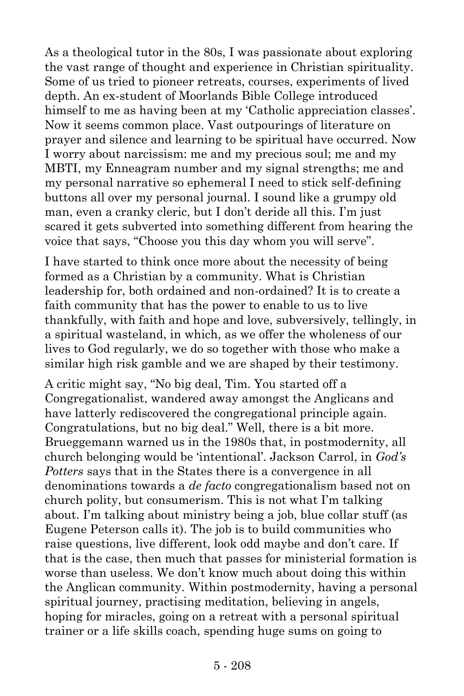As a theological tutor in the 80s, I was passionate about exploring the vast range of thought and experience in Christian spirituality. Some of us tried to pioneer retreats, courses, experiments of lived depth. An ex-student of Moorlands Bible College introduced himself to me as having been at my 'Catholic appreciation classes'. Now it seems common place. Vast outpourings of literature on prayer and silence and learning to be spiritual have occurred. Now I worry about narcissism: me and my precious soul; me and my MBTI, my Enneagram number and my signal strengths; me and my personal narrative so ephemeral I need to stick self-defining buttons all over my personal journal. I sound like a grumpy old man, even a cranky cleric, but I don't deride all this. I'm just scared it gets subverted into something different from hearing the voice that says, "Choose you this day whom you will serve".

I have started to think once more about the necessity of being formed as a Christian by a community. What is Christian leadership for, both ordained and non-ordained? It is to create a faith community that has the power to enable to us to live thankfully, with faith and hope and love, subversively, tellingly, in a spiritual wasteland, in which, as we offer the wholeness of our lives to God regularly, we do so together with those who make a similar high risk gamble and we are shaped by their testimony.

A critic might say, "No big deal, Tim. You started off a Congregationalist, wandered away amongst the Anglicans and have latterly rediscovered the congregational principle again. Congratulations, but no big deal." Well, there is a bit more. Brueggemann warned us in the 1980s that, in postmodernity, all church belonging would be 'intentional'. Jackson Carrol, in *God's Potters* says that in the States there is a convergence in all denominations towards a *de facto* congregationalism based not on church polity, but consumerism. This is not what I'm talking about. I'm talking about ministry being a job, blue collar stuff (as Eugene Peterson calls it). The job is to build communities who raise questions, live different, look odd maybe and don't care. If that is the case, then much that passes for ministerial formation is worse than useless. We don't know much about doing this within the Anglican community. Within postmodernity, having a personal spiritual journey, practising meditation, believing in angels, hoping for miracles, going on a retreat with a personal spiritual trainer or a life skills coach, spending huge sums on going to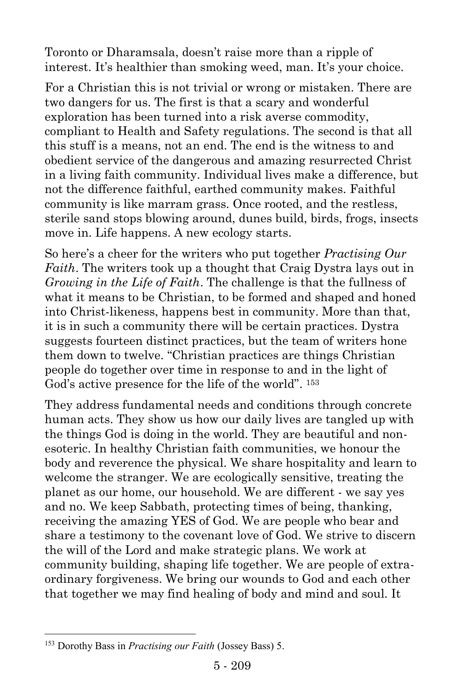Toronto or Dharamsala, doesn't raise more than a ripple of interest. It's healthier than smoking weed, man. It's your choice.

For a Christian this is not trivial or wrong or mistaken. There are two dangers for us. The first is that a scary and wonderful exploration has been turned into a risk averse commodity, compliant to Health and Safety regulations. The second is that all this stuff is a means, not an end. The end is the witness to and obedient service of the dangerous and amazing resurrected Christ in a living faith community. Individual lives make a difference, but not the difference faithful, earthed community makes. Faithful community is like marram grass. Once rooted, and the restless, sterile sand stops blowing around, dunes build, birds, frogs, insects move in. Life happens. A new ecology starts.

So here's a cheer for the writers who put together *Practising Our Faith*. The writers took up a thought that Craig Dystra lays out in *Growing in the Life of Faith*. The challenge is that the fullness of what it means to be Christian, to be formed and shaped and honed into Christ-likeness, happens best in community. More than that, it is in such a community there will be certain practices. Dystra suggests fourteen distinct practices, but the team of writers hone them down to twelve. "Christian practices are things Christian people do together over time in response to and in the light of God's active presence for the life of the world". <sup>153</sup>

They address fundamental needs and conditions through concrete human acts. They show us how our daily lives are tangled up with the things God is doing in the world. They are beautiful and nonesoteric. In healthy Christian faith communities, we honour the body and reverence the physical. We share hospitality and learn to welcome the stranger. We are ecologically sensitive, treating the planet as our home, our household. We are different - we say yes and no. We keep Sabbath, protecting times of being, thanking, receiving the amazing YES of God. We are people who bear and share a testimony to the covenant love of God. We strive to discern the will of the Lord and make strategic plans. We work at community building, shaping life together. We are people of extraordinary forgiveness. We bring our wounds to God and each other that together we may find healing of body and mind and soul. It

 $\overline{a}$ 

<sup>153</sup> Dorothy Bass in *Practising our Faith* (Jossey Bass) 5.